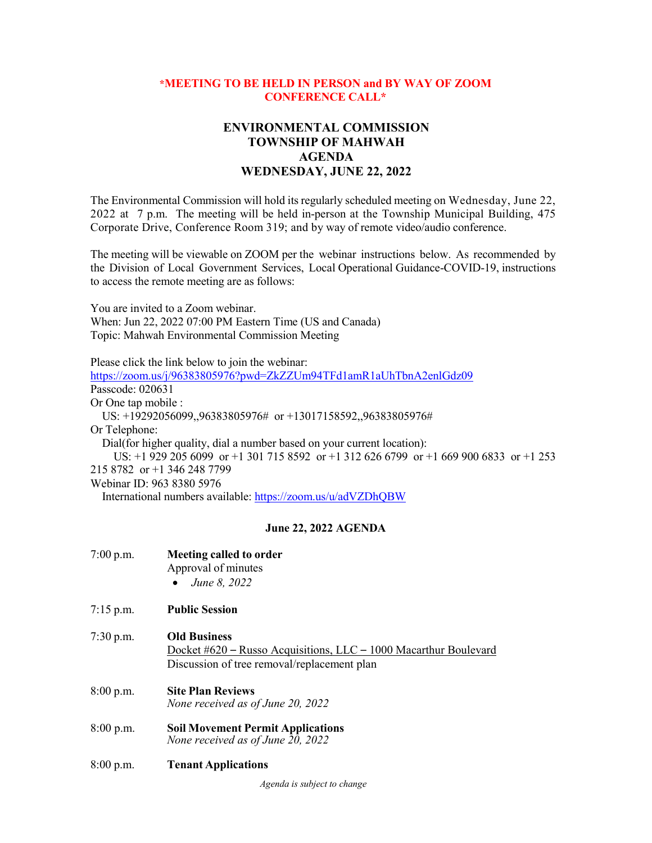## **\*MEETING TO BE HELD IN PERSON and BY WAY OF ZOOM CONFERENCE CALL\***

## **ENVIRONMENTAL COMMISSION TOWNSHIP OF MAHWAH AGENDA WEDNESDAY, JUNE 22, 2022**

The Environmental Commission will hold its regularly scheduled meeting on Wednesday, June 22, 2022 at 7 p.m. The meeting will be held in-person at the Township Municipal Building, 475 Corporate Drive, Conference Room 319; and by way of remote video/audio conference.

The meeting will be viewable on ZOOM per the webinar instructions below. As recommended by the Division of Local Government Services, Local Operational Guidance-COVID-19, instructions to access the remote meeting are as follows:

You are invited to a Zoom webinar. When: Jun 22, 2022 07:00 PM Eastern Time (US and Canada) Topic: Mahwah Environmental Commission Meeting

Please click the link below to join the webinar:

<https://zoom.us/j/96383805976?pwd=ZkZZUm94TFd1amR1aUhTbnA2enlGdz09> Passcode: 020631 Or One tap mobile : US: +19292056099,,96383805976# or +13017158592,,96383805976# Or Telephone: Dial(for higher quality, dial a number based on your current location): US: +1 929 205 6099 or +1 301 715 8592 or +1 312 626 6799 or +1 669 900 6833 or +1 253 215 8782 or +1 346 248 7799 Webinar ID: 963 8380 5976

International numbers available:<https://zoom.us/u/adVZDhQBW>

## **June 22, 2022 AGENDA**

| $7:00$ p.m. | <b>Meeting called to order</b><br>Approval of minutes<br>June 8, 2022<br>$\bullet$                                                     |
|-------------|----------------------------------------------------------------------------------------------------------------------------------------|
| $7:15$ p.m. | <b>Public Session</b>                                                                                                                  |
| $7:30$ p.m. | <b>Old Business</b><br>Docket #620 – Russo Acquisitions, LLC – 1000 Macarthur Boulevard<br>Discussion of tree removal/replacement plan |
| 8:00 p.m.   | <b>Site Plan Reviews</b><br>None received as of June 20, 2022                                                                          |
| $8:00$ p.m. | <b>Soil Movement Permit Applications</b><br>None received as of June 20, 2022                                                          |
| 8:00 p.m.   | <b>Tenant Applications</b>                                                                                                             |

*Agenda is subject to change*